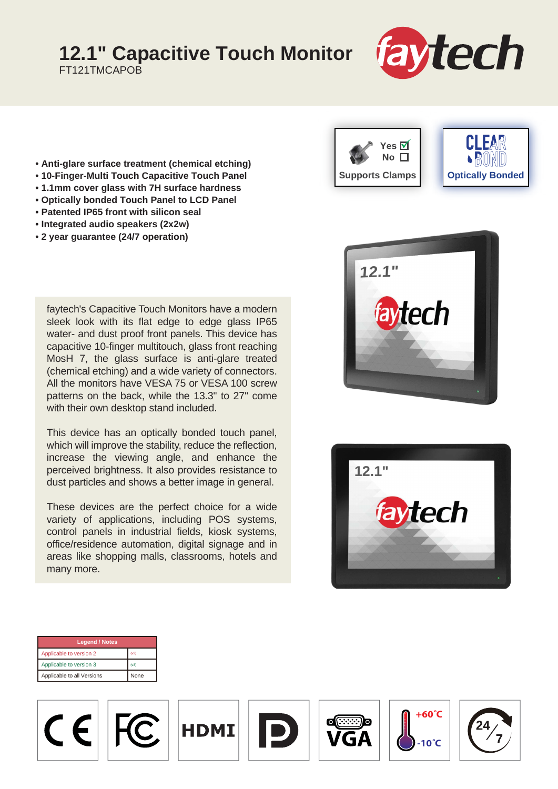## **12.1" Capacitive Touch Monitor**

FT121TMCAPOB



- **Anti-glare surface treatment (chemical etching)**
- **10-Finger-Multi Touch Capacitive Touch Panel**
- **1.1mm cover glass with 7H surface hardness**
- **Optically bonded Touch Panel to LCD Panel**
- **Patented IP65 front with silicon seal**
- **Integrated audio speakers (2x2w)**
- **2 year guarantee (24/7 operation)**

faytech's Capacitive Touch Monitors have a modern sleek look with its flat edge to edge glass IP65 water- and dust proof front panels. This device has capacitive 10-finger multitouch, glass front reaching MosH 7, the glass surface is anti-glare treated (chemical etching) and a wide variety of connectors. All the monitors have VESA 75 or VESA 100 screw patterns on the back, while the 13.3" to 27" come with their own desktop stand included.

This device has an optically bonded touch panel, which will improve the stability, reduce the reflection, increase the viewing angle, and enhance the perceived brightness. It also provides resistance to dust particles and shows a better image in general.

These devices are the perfect choice for a wide variety of applications, including POS systems, control panels in industrial fields, kiosk systems, office/residence automation, digital signage and in areas like shopping malls, classrooms, hotels and many more.







| <b>Legend / Notes</b>      |      |  |
|----------------------------|------|--|
| Applicable to version 2    | (v2) |  |
| Applicable to version 3    | (v3) |  |
| Applicable to all Versions | None |  |

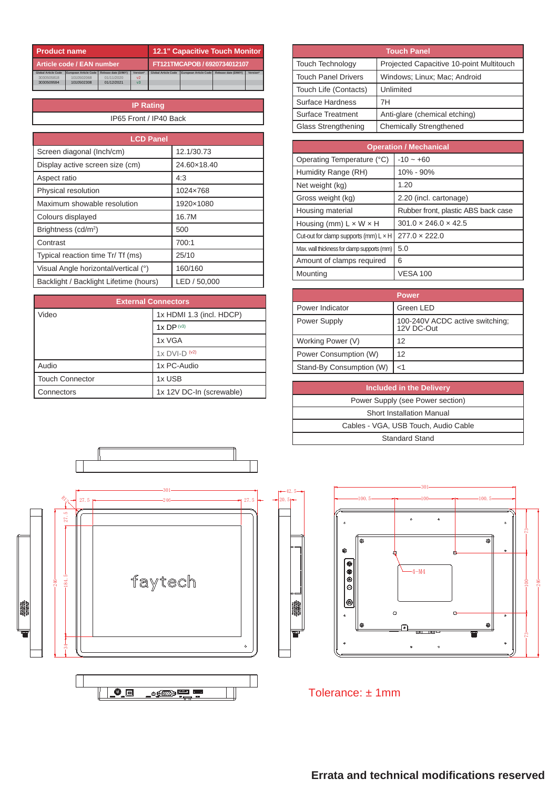| <b>Product name</b>        |                       |                              | <b>12.1" Capacitive Touch Monitor</b> |                            |                       |                      |          |
|----------------------------|-----------------------|------------------------------|---------------------------------------|----------------------------|-----------------------|----------------------|----------|
| Article code / EAN number  |                       | FT121TMCAPOB / 6920734012107 |                                       |                            |                       |                      |          |
| <b>Global Article Code</b> | European Article Code | Release date (D/M/Y)         | Version*                              | <b>Global Article Code</b> | European Article Code | Release date (D/M/Y) | Version* |
| 3030505818                 | 1010502068            | 01/11/2020                   | v <sub>2</sub>                        |                            |                       |                      |          |
| 3030509594                 | 1010502308            | 01/12/2021                   | v <sup>3</sup>                        |                            |                       |                      |          |
|                            |                       |                              |                                       |                            |                       |                      |          |

| <b>IP Rating</b>       |  |
|------------------------|--|
| IP65 Front / IP40 Back |  |

| <b>LCD Panel</b>                       |              |  |  |
|----------------------------------------|--------------|--|--|
| Screen diagonal (Inch/cm)              | 12.1/30.73   |  |  |
| Display active screen size (cm)        | 24.60×18.40  |  |  |
| Aspect ratio                           | 4:3          |  |  |
| Physical resolution                    | 1024×768     |  |  |
| Maximum showable resolution            | 1920×1080    |  |  |
| Colours displayed                      | 16.7M        |  |  |
| Brightness (cd/m <sup>2</sup> )        | 500          |  |  |
| Contrast                               | 700:1        |  |  |
| Typical reaction time Tr/ Tf (ms)      | 25/10        |  |  |
| Visual Angle horizontal/vertical (°)   | 160/160      |  |  |
| Backlight / Backlight Lifetime (hours) | LED / 50,000 |  |  |

| <b>External Connectors</b> |                          |  |
|----------------------------|--------------------------|--|
| Video                      | 1x HDMI 1.3 (incl. HDCP) |  |
|                            | 1xDP <sup>(v3)</sup>     |  |
|                            | 1x VGA                   |  |
|                            | $1x$ DVI-D $(42)$        |  |
| Audio                      | 1x PC-Audio              |  |
| <b>Touch Connector</b>     | 1x USB                   |  |
| Connectors                 | 1x 12V DC-In (screwable) |  |

| <b>Touch Panel</b>         |                                          |  |  |
|----------------------------|------------------------------------------|--|--|
| <b>Touch Technology</b>    | Projected Capacitive 10-point Multitouch |  |  |
| <b>Touch Panel Drivers</b> | Windows; Linux; Mac; Android             |  |  |
| Touch Life (Contacts)      | Unlimited                                |  |  |
| Surface Hardness           | 7Н                                       |  |  |
| Surface Treatment          | Anti-glare (chemical etching)            |  |  |
| Glass Strengthening        | <b>Chemically Strengthened</b>           |  |  |

| <b>Operation / Mechanical</b>                |                                     |  |
|----------------------------------------------|-------------------------------------|--|
| Operating Temperature (°C)                   | $-10 - +60$                         |  |
| Humidity Range (RH)                          | 10% - 90%                           |  |
| Net weight (kg)                              | 1.20                                |  |
| Gross weight (kg)                            | 2.20 (incl. cartonage)              |  |
| Housing material                             | Rubber front, plastic ABS back case |  |
| Housing (mm) $L \times W \times H$           | $301.0 \times 246.0 \times 42.5$    |  |
| Cut-out for clamp supports (mm) $L \times H$ | $277.0 \times 222.0$                |  |
| Max. wall thickness for clamp supports (mm)  | 5.0                                 |  |
| Amount of clamps required                    | 6                                   |  |
| Mounting                                     | <b>VESA 100</b>                     |  |

|                          | <b>Power</b>                                  |
|--------------------------|-----------------------------------------------|
| Power Indicator          | Green LED                                     |
| Power Supply             | 100-240V ACDC active switching;<br>12V DC-Out |
| Working Power (V)        | 12                                            |
| Power Consumption (W)    | 12                                            |
| Stand-By Consumption (W) | $<$ 1                                         |

| <b>Included in the Delivery</b>      |
|--------------------------------------|
| Power Supply (see Power section)     |
| <b>Short Installation Manual</b>     |
| Cables - VGA, USB Touch, Audio Cable |
| Standard Stand                       |







Tolerance: ± 1mm

20.5